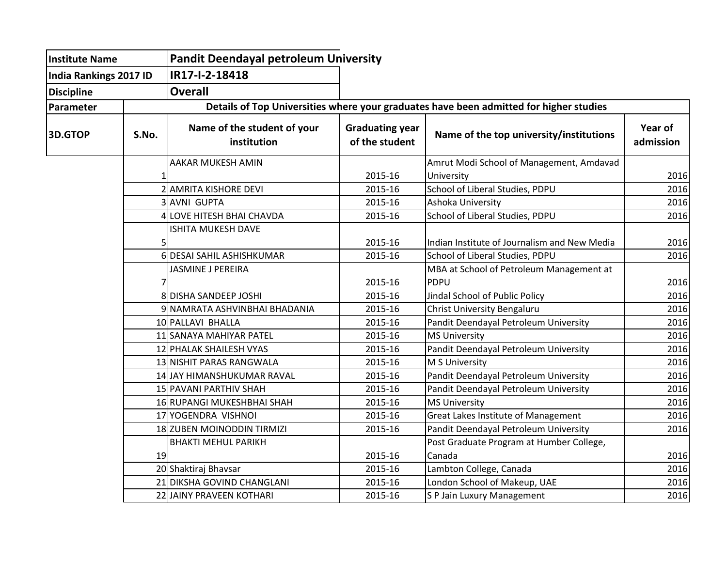| <b>Institute Name</b><br><b>India Rankings 2017 ID</b><br><b>Discipline</b> |       | <b>Pandit Deendayal petroleum University</b>                                           |                                          |                                              |                      |  |  |  |
|-----------------------------------------------------------------------------|-------|----------------------------------------------------------------------------------------|------------------------------------------|----------------------------------------------|----------------------|--|--|--|
|                                                                             |       | IR17-I-2-18418                                                                         |                                          |                                              |                      |  |  |  |
|                                                                             |       | <b>Overall</b>                                                                         |                                          |                                              |                      |  |  |  |
| Parameter                                                                   |       | Details of Top Universities where your graduates have been admitted for higher studies |                                          |                                              |                      |  |  |  |
| <b>3D.GTOP</b>                                                              | S.No. | Name of the student of your<br>institution                                             | <b>Graduating year</b><br>of the student | Name of the top university/institutions      | Year of<br>admission |  |  |  |
|                                                                             |       | AAKAR MUKESH AMIN                                                                      |                                          | Amrut Modi School of Management, Amdavad     |                      |  |  |  |
|                                                                             | 1     |                                                                                        | 2015-16                                  | University                                   | 2016                 |  |  |  |
|                                                                             |       | 2 AMRITA KISHORE DEVI                                                                  | 2015-16                                  | School of Liberal Studies, PDPU              | 2016                 |  |  |  |
|                                                                             |       | 3 AVNI GUPTA                                                                           | 2015-16                                  | Ashoka University                            | 2016                 |  |  |  |
|                                                                             |       | LOVE HITESH BHAI CHAVDA                                                                | 2015-16                                  | School of Liberal Studies, PDPU              | 2016                 |  |  |  |
|                                                                             | 5     | <b>ISHITA MUKESH DAVE</b>                                                              | 2015-16                                  | Indian Institute of Journalism and New Media | 2016                 |  |  |  |
|                                                                             |       | 6 DESAI SAHIL ASHISHKUMAR                                                              | 2015-16                                  | School of Liberal Studies, PDPU              | 2016                 |  |  |  |
|                                                                             |       | JASMINE J PEREIRA                                                                      |                                          | MBA at School of Petroleum Management at     |                      |  |  |  |
|                                                                             |       |                                                                                        | 2015-16                                  | PDPU                                         | 2016                 |  |  |  |
|                                                                             |       | 8 DISHA SANDEEP JOSHI                                                                  | 2015-16                                  | Jindal School of Public Policy               | 2016                 |  |  |  |
|                                                                             |       | 9 NAMRATA ASHVINBHAI BHADANIA                                                          | 2015-16                                  | Christ University Bengaluru                  | 2016                 |  |  |  |
|                                                                             |       | 10 PALLAVI BHALLA                                                                      | 2015-16                                  | Pandit Deendayal Petroleum University        | 2016                 |  |  |  |
|                                                                             |       | 11 SANAYA MAHIYAR PATEL                                                                | 2015-16                                  | <b>MS University</b>                         | 2016                 |  |  |  |
|                                                                             |       | 12 PHALAK SHAILESH VYAS                                                                | 2015-16                                  | Pandit Deendayal Petroleum University        | 2016                 |  |  |  |
|                                                                             |       | 13 NISHIT PARAS RANGWALA                                                               | 2015-16                                  | M S University                               | 2016                 |  |  |  |
|                                                                             |       | 14 JAY HIMANSHUKUMAR RAVAL                                                             | 2015-16                                  | Pandit Deendayal Petroleum University        | 2016                 |  |  |  |
|                                                                             |       | 15 PAVANI PARTHIV SHAH                                                                 | 2015-16                                  | Pandit Deendayal Petroleum University        | 2016                 |  |  |  |
|                                                                             |       | 16 RUPANGI MUKESHBHAI SHAH                                                             | 2015-16                                  | <b>MS University</b>                         | 2016                 |  |  |  |
|                                                                             |       | 17 YOGENDRA VISHNOI                                                                    | 2015-16                                  | Great Lakes Institute of Management          | 2016                 |  |  |  |
|                                                                             |       | 18 ZUBEN MOINODDIN TIRMIZI                                                             | 2015-16                                  | Pandit Deendayal Petroleum University        | 2016                 |  |  |  |
|                                                                             |       | <b>BHAKTI MEHUL PARIKH</b>                                                             |                                          | Post Graduate Program at Humber College,     |                      |  |  |  |
|                                                                             | 19    |                                                                                        | 2015-16                                  | Canada                                       | 2016                 |  |  |  |
|                                                                             |       | 20 Shaktiraj Bhavsar                                                                   | 2015-16                                  | Lambton College, Canada                      | 2016                 |  |  |  |
|                                                                             |       | 21 DIKSHA GOVIND CHANGLANI                                                             | 2015-16                                  | London School of Makeup, UAE                 | 2016                 |  |  |  |
|                                                                             |       | 22 JAINY PRAVEEN KOTHARI                                                               | 2015-16                                  | S P Jain Luxury Management                   | 2016                 |  |  |  |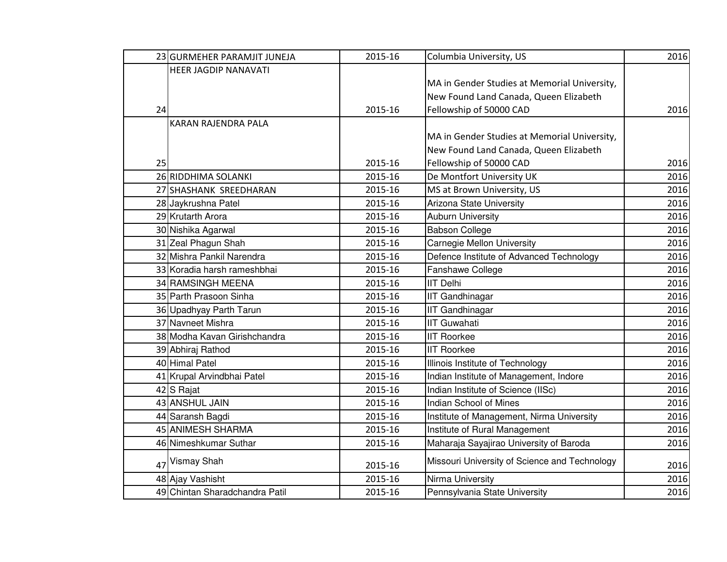|    | 23 GURMEHER PARAMJIT JUNEJA    | 2015-16 | Columbia University, US                       | 2016 |
|----|--------------------------------|---------|-----------------------------------------------|------|
|    | HEER JAGDIP NANAVATI           |         |                                               |      |
|    |                                |         | MA in Gender Studies at Memorial University,  |      |
|    |                                |         | New Found Land Canada, Queen Elizabeth        |      |
| 24 |                                | 2015-16 | Fellowship of 50000 CAD                       | 2016 |
|    | <b>KARAN RAJENDRA PALA</b>     |         |                                               |      |
|    |                                |         | MA in Gender Studies at Memorial University,  |      |
|    |                                |         | New Found Land Canada, Queen Elizabeth        |      |
| 25 |                                | 2015-16 | Fellowship of 50000 CAD                       | 2016 |
|    | 26 RIDDHIMA SOLANKI            | 2015-16 | De Montfort University UK                     | 2016 |
|    | 27 SHASHANK SREEDHARAN         | 2015-16 | MS at Brown University, US                    | 2016 |
|    | 28 Jaykrushna Patel            | 2015-16 | Arizona State University                      | 2016 |
|    | 29 Krutarth Arora              | 2015-16 | <b>Auburn University</b>                      | 2016 |
|    | 30 Nishika Agarwal             | 2015-16 | <b>Babson College</b>                         | 2016 |
|    | 31 Zeal Phagun Shah            | 2015-16 | Carnegie Mellon University                    | 2016 |
|    | 32 Mishra Pankil Narendra      | 2015-16 | Defence Institute of Advanced Technology      | 2016 |
|    | 33 Koradia harsh rameshbhai    | 2015-16 | Fanshawe College                              | 2016 |
|    | 34 RAMSINGH MEENA              | 2015-16 | <b>IIT Delhi</b>                              | 2016 |
|    | 35 Parth Prasoon Sinha         | 2015-16 | <b>IIT Gandhinagar</b>                        | 2016 |
|    | 36 Upadhyay Parth Tarun        | 2015-16 | <b>IIT Gandhinagar</b>                        | 2016 |
|    | 37 Navneet Mishra              | 2015-16 | <b>IIT Guwahati</b>                           | 2016 |
|    | 38 Modha Kavan Girishchandra   | 2015-16 | <b>IIT Roorkee</b>                            | 2016 |
|    | 39 Abhiraj Rathod              | 2015-16 | <b>IIT Roorkee</b>                            | 2016 |
|    | 40 Himal Patel                 | 2015-16 | Illinois Institute of Technology              | 2016 |
|    | 41 Krupal Arvindbhai Patel     | 2015-16 | Indian Institute of Management, Indore        | 2016 |
|    | 42 S Rajat                     | 2015-16 | Indian Institute of Science (IISc)            | 2016 |
|    | 43 ANSHUL JAIN                 | 2015-16 | Indian School of Mines                        | 2016 |
|    | 44 Saransh Bagdi               | 2015-16 | Institute of Management, Nirma University     | 2016 |
|    | 45 ANIMESH SHARMA              | 2015-16 | Institute of Rural Management                 | 2016 |
|    | 46 Nimeshkumar Suthar          | 2015-16 | Maharaja Sayajirao University of Baroda       | 2016 |
|    | 47 Vismay Shah                 | 2015-16 | Missouri University of Science and Technology | 2016 |
|    | 48 Ajay Vashisht               | 2015-16 | Nirma University                              | 2016 |
|    | 49 Chintan Sharadchandra Patil | 2015-16 | Pennsylvania State University                 | 2016 |